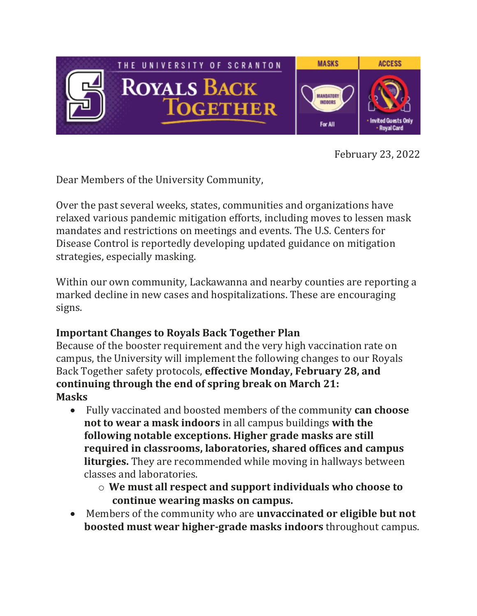

February 23, 2022

Dear Members of the University Community,

Over the past several weeks, states, communities and organizations have relaxed various pandemic mitigation efforts, including moves to lessen mask mandates and restrictions on meetings and events. The U.S. Centers for Disease Control is reportedly developing updated guidance on mitigation strategies, especially masking.

Within our own community, Lackawanna and nearby counties are reporting a marked decline in new cases and hospitalizations. These are encouraging signs.

## **Important Changes to Royals Back Together Plan**

Because of the booster requirement and the very high vaccination rate on campus, the University will implement the following changes to our Royals Back Together safety protocols, **effective Monday, February 28, and continuing through the end of spring break on March 21: Masks**

- Fully vaccinated and boosted members of the community **can choose not to wear a mask indoors** in all campus buildings **with the following notable exceptions. Higher grade masks are still required in classrooms, laboratories, shared offices and campus liturgies.** They are recommended while moving in hallways between classes and laboratories.
	- o **We must all respect and support individuals who choose to continue wearing masks on campus.**
- Members of the community who are **unvaccinated or eligible but not boosted must wear higher-grade masks indoors** throughout campus.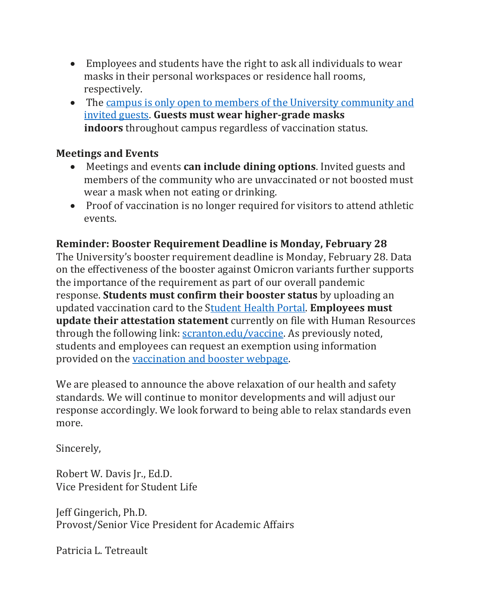- Employees and students have the right to ask all individuals to wear masks in their personal workspaces or residence hall rooms, respectively.
- The campus is only open to members of the University [community](https://www.scranton.edu/royals-safe-together/public-access.shtml) and [invited](https://www.scranton.edu/royals-safe-together/public-access.shtml) guests. **Guests must wear higher-grade masks indoors** throughout campus regardless of vaccination status.

## **Meetings and Events**

- Meetings and events **can include dining options**. Invited guests and members of the community who are unvaccinated or not boosted must wear a mask when not eating or drinking.
- Proof of vaccination is no longer required for visitors to attend athletic events.

## **Reminder: Booster Requirement Deadline is Monday, February 28**

The University's booster requirement deadline is Monday, February 28. Data on the effectiveness of the booster against Omicron variants further supports the importance of the requirement as part of our overall pandemic response. **Students must confirm their booster status** by uploading an updated vaccination card to the [Student](https://nam10.safelinks.protection.outlook.com/?url=https%3A%2F%2Fscranton.medicatconnect.com%2Fdefault.aspx&data=04%7C01%7Ckristin.durkin%40scranton.edu%7C5aed52ebde37484ae21a08d9f6fd67d3%7Ca8edc49a41f14c699768a7f6d7c3b8c3%7C0%7C0%7C637812390529423007%7CUnknown%7CTWFpbGZsb3d8eyJWIjoiMC4wLjAwMDAiLCJQIjoiV2luMzIiLCJBTiI6Ik1haWwiLCJXVCI6Mn0%3D%7C3000&sdata=d1XeQf80JUsV305HOHSw3wIhsC6%2Bc6XVYUmaZvFEoms%3D&reserved=0) Health Portal. **Employees must update their attestation statement** currently on file with Human Resources through the following link: [scranton.edu/vaccine.](https://nam10.safelinks.protection.outlook.com/?url=http%3A%2F%2Fscranton.edu%2Fvaccine&data=04%7C01%7Ckristin.durkin%40scranton.edu%7C5aed52ebde37484ae21a08d9f6fd67d3%7Ca8edc49a41f14c699768a7f6d7c3b8c3%7C0%7C0%7C637812390529423007%7CUnknown%7CTWFpbGZsb3d8eyJWIjoiMC4wLjAwMDAiLCJQIjoiV2luMzIiLCJBTiI6Ik1haWwiLCJXVCI6Mn0%3D%7C3000&sdata=0gHnu%2FetC6TwArf9kCeOQJFCU9AwZVQTvfnQDH2UliM%3D&reserved=0) As previously noted, students and employees can request an exemption using information provided on the [vaccination](https://www.scranton.edu/royals-safe-together/vaccinations.shtml) and booster webpage.

We are pleased to announce the above relaxation of our health and safety standards. We will continue to monitor developments and will adjust our response accordingly. We look forward to being able to relax standards even more.

Sincerely,

Robert W. Davis Jr., Ed.D. Vice President for Student Life

Jeff Gingerich, Ph.D. Provost/Senior Vice President for Academic Affairs

Patricia L. Tetreault